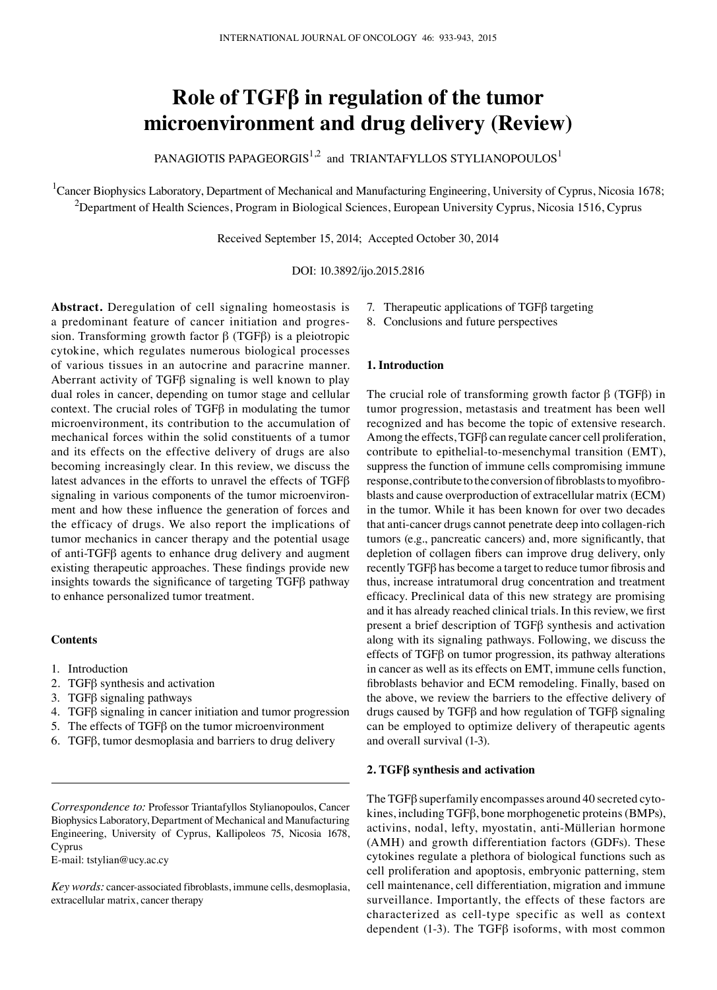# **Role of TGFβ in regulation of the tumor microenvironment and drug delivery (Review)**

PANAGIOTIS PAPAGEORGIS<sup>1,2</sup> and TRIANTAFYLLOS STYLIANOPOULOS<sup>1</sup>

<sup>1</sup>Cancer Biophysics Laboratory, Department of Mechanical and Manufacturing Engineering, University of Cyprus, Nicosia 1678;  $^2$ Department of Health Sciences, Program in Biological Sciences, European University Cyprus, Nicosia 1516, Cyprus

Received September 15, 2014; Accepted October 30, 2014

DOI: 10.3892/ijo.2015.2816

**Abstract.** Deregulation of cell signaling homeostasis is a predominant feature of cancer initiation and progression. Transforming growth factor β (TGFβ) is a pleiotropic cytokine, which regulates numerous biological processes of various tissues in an autocrine and paracrine manner. Aberrant activity of TGFβ signaling is well known to play dual roles in cancer, depending on tumor stage and cellular context. The crucial roles of TGFβ in modulating the tumor microenvironment, its contribution to the accumulation of mechanical forces within the solid constituents of a tumor and its effects on the effective delivery of drugs are also becoming increasingly clear. In this review, we discuss the latest advances in the efforts to unravel the effects of TGFβ signaling in various components of the tumor microenvironment and how these influence the generation of forces and the efficacy of drugs. We also report the implications of tumor mechanics in cancer therapy and the potential usage of anti‑TGFβ agents to enhance drug delivery and augment existing therapeutic approaches. These findings provide new insights towards the significance of targeting TGFβ pathway to enhance personalized tumor treatment.

## **Contents**

- 1. Introduction
- 2. TGFβ synthesis and activation
- 3. TGFβ signaling pathways
- 4. TGFβ signaling in cancer initiation and tumor progression
- 5. The effects of TGFβ on the tumor microenvironment
- 6. TGFβ, tumor desmoplasia and barriers to drug delivery

E‑mail: tstylian@ucy.ac.cy

*Key words:* cancer-associated fibroblasts, immune cells, desmoplasia, extracellular matrix, cancer therapy

- 7. Therapeutic applications of TGFβ targeting
- 8. Conclusions and future perspectives

## **1. Introduction**

The crucial role of transforming growth factor  $β$  (TGF $β$ ) in tumor progression, metastasis and treatment has been well recognized and has become the topic of extensive research. Among the effects, TGFβ can regulate cancer cell proliferation, contribute to epithelial-to-mesenchymal transition (EMT), suppress the function of immune cells compromising immune response, contribute to the conversion of fibroblasts to myofibroblasts and cause overproduction of extracellular matrix (ECM) in the tumor. While it has been known for over two decades that anti-cancer drugs cannot penetrate deep into collagen-rich tumors (e.g., pancreatic cancers) and, more significantly, that depletion of collagen fibers can improve drug delivery, only recently TGFβ has become a target to reduce tumor fibrosis and thus, increase intratumoral drug concentration and treatment efficacy. Preclinical data of this new strategy are promising and it has already reached clinical trials. In this review, we first present a brief description of TGFβ synthesis and activation along with its signaling pathways. Following, we discuss the effects of TGFβ on tumor progression, its pathway alterations in cancer as well as its effects on EMT, immune cells function, fibroblasts behavior and ECM remodeling. Finally, based on the above, we review the barriers to the effective delivery of drugs caused by TGFβ and how regulation of TGFβ signaling can be employed to optimize delivery of therapeutic agents and overall survival (1-3).

### **2. TGFβ synthesis and activation**

The TGFβ superfamily encompasses around 40 secreted cytokines, including TGFβ, bone morphogenetic proteins(BMPs), activins, nodal, lefty, myostatin, anti-Müllerian hormone (AMH) and growth differentiation factors (GDFs). These cytokines regulate a plethora of biological functions such as cell proliferation and apoptosis, embryonic patterning, stem cell maintenance, cell differentiation, migration and immune surveillance. Importantly, the effects of these factors are characterized as cell-type specific as well as context dependent (1-3). The TGFβ isoforms, with most common

*Correspondence to:* Professor Triantafyllos Stylianopoulos, Cancer Biophysics Laboratory, Department of Mechanical and Manufacturing Engineering, University of Cyprus, Kallipoleos 75, Nicosia 1678, Cyprus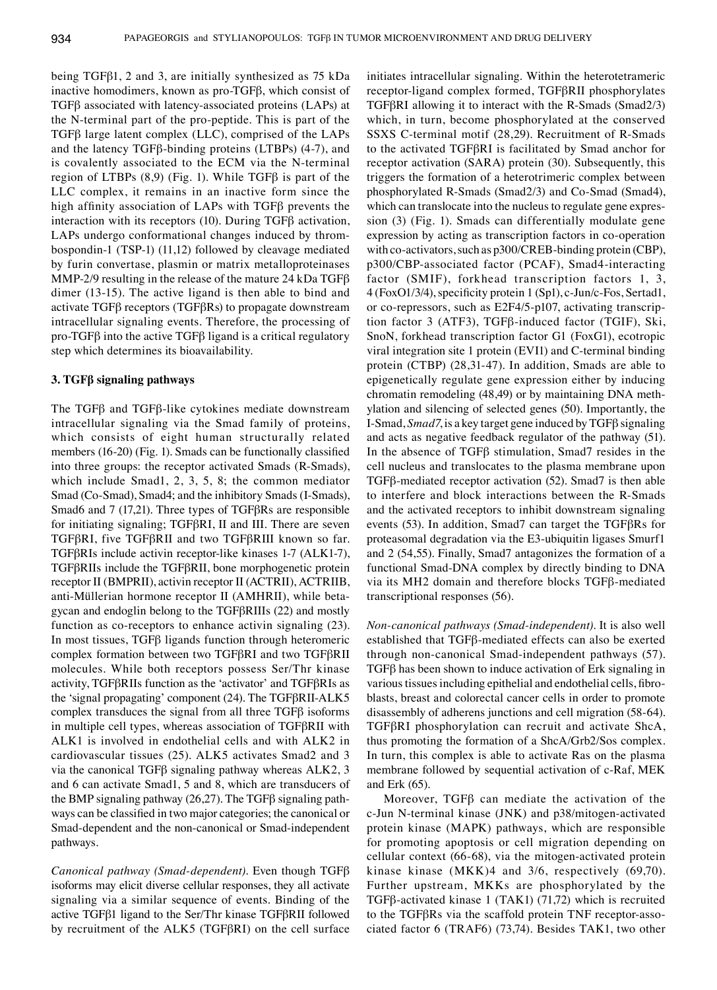being TGFβ1, 2 and 3, are initially synthesized as 75 kDa inactive homodimers, known as pro‑TGFβ, which consist of TGFβ associated with latency‑associated proteins (LAPs) at the N-terminal part of the pro-peptide. This is part of the TGFβ large latent complex (LLC), comprised of the LAPs and the latency TGFβ‑binding proteins (LTBPs) (4‑7), and is covalently associated to the ECM via the N-terminal region of LTBPs  $(8,9)$  (Fig. 1). While TGF $\beta$  is part of the LLC complex, it remains in an inactive form since the high affinity association of LAPs with TGFβ prevents the interaction with its receptors (10). During TGFβ activation, LAPs undergo conformational changes induced by thrombospondin‑1 (TSP‑1) (11,12) followed by cleavage mediated by furin convertase, plasmin or matrix metalloproteinases MMP-2/9 resulting in the release of the mature 24 kDa TGF $\beta$ dimer (13-15). The active ligand is then able to bind and activate TGFβ receptors (TGFβRs) to propagate downstream intracellular signaling events. Therefore, the processing of pro‑TGFβ into the active TGFβ ligand is a critical regulatory step which determines its bioavailability.

# **3. TGFβ signaling pathways**

The TGFβ and TGFβ-like cytokines mediate downstream intracellular signaling via the Smad family of proteins, which consists of eight human structurally related members (16-20) (Fig. 1). Smads can be functionally classified into three groups: the receptor activated Smads (R‑Smads), which include Smad1, 2, 3, 5, 8; the common mediator Smad (Co-Smad), Smad4; and the inhibitory Smads (I-Smads), Smad6 and 7 (17,21). Three types of TGFβRs are responsible for initiating signaling; TGFβRⅠ, Ⅱ and Ⅲ. There are seven TGFβRⅠ, five TGFβRⅡ and two TGFβRⅢ known so far. TGFβRⅠs include activin receptor-like kinases 1‑7 (ALK1‑7), TGFβRⅡs include the TGFβRⅡ, bone morphogenetic protein receptor Ⅱ (BMPRⅡ), activin receptor Ⅱ (ACTRⅡ), ACTRⅡB, anti‑Müllerian hormone receptor Ⅱ (AMHRⅡ), while betagycan and endoglin belong to the TGFβRⅢs (22) and mostly function as co-receptors to enhance activin signaling (23). In most tissues, TGFβ ligands function through heteromeric complex formation between two TGFβRⅠ and two TGFβRⅡ molecules. While both receptors possess Ser/Thr kinase activity, TGFβRⅡs function as the 'activator' and TGFβRⅠs as the 'signal propagating' component (24). The TGFβRII-ALK5 complex transduces the signal from all three TGFβ isoforms in multiple cell types, whereas association of TGFβRⅡ with ALK1 is involved in endothelial cells and with ALK2 in cardiovascular tissues (25). ALK5 activates Smad2 and 3 via the canonical TGFβ signaling pathway whereas ALK2, 3 and 6 can activate Smad1, 5 and 8, which are transducers of the BMP signaling pathway (26,27). The TGFβ signaling pathways can be classified in two major categories; the canonical or Smad-dependent and the non-canonical or Smad-independent pathways.

*Canonical pathway (Smad‑dependent).* Even though TGFβ isoforms may elicit diverse cellular responses, they all activate signaling via a similar sequence of events. Binding of the active TGFβ1 ligand to the Ser/Thr kinase TGFβRⅡ followed by recruitment of the ALK5 (TGFβRⅠ) on the cell surface initiates intracellular signaling. Within the heterotetrameric receptor-ligand complex formed, TGFβRⅡ phosphorylates TGFβRⅠ allowing it to interact with the R‑Smads (Smad2/3) which, in turn, become phosphorylated at the conserved SSXS C‑terminal motif (28,29). Recruitment of R‑Smads to the activated TGFβRⅠ is facilitated by Smad anchor for receptor activation (SARA) protein (30). Subsequently, this triggers the formation of a heterotrimeric complex between phosphorylated R‑Smads (Smad2/3) and Co‑Smad (Smad4), which can translocate into the nucleus to regulate gene expression (3) (Fig. 1). Smads can differentially modulate gene expression by acting as transcription factors in co-operation with co-activators, such as p300/CREB-binding protein (CBP), p300/CBP‑associated factor (PCAF), Smad4‑interacting factor (SMIF), forkhead transcription factors 1, 3, 4 (FoxO1/3/4), specificity protein 1 (Sp1), c‑Jun/c‑Fos, Sertad1, or co-repressors, such as E2F4/5-p107, activating transcription factor 3 (ATF3), TGFβ‑induced factor (TGIF), Ski, SnoN, forkhead transcription factor G1 (FoxG1), ecotropic viral integration site 1 protein (EVI1) and C-terminal binding protein (CTBP) (28,31‑47). In addition, Smads are able to epigenetically regulate gene expression either by inducing chromatin remodeling (48,49) or by maintaining DNA methylation and silencing of selected genes (50). Importantly, the I‑Smad, *Smad7*, is a key target gene induced by TGFβ signaling and acts as negative feedback regulator of the pathway (51). In the absence of TGFβ stimulation, Smad7 resides in the cell nucleus and translocates to the plasma membrane upon TGFβ‑mediated receptor activation (52). Smad7 is then able to interfere and block interactions between the R‑Smads and the activated receptors to inhibit downstream signaling events (53). In addition, Smad7 can target the TGFβRs for proteasomal degradation via the E3‑ubiquitin ligases Smurf1 and 2 (54,55). Finally, Smad7 antagonizes the formation of a functional Smad‑DNA complex by directly binding to DNA via its MH2 domain and therefore blocks TGFβ-mediated transcriptional responses (56).

*Non‑canonical pathways (Smad‑independent).* It is also well established that TGFβ-mediated effects can also be exerted through non‑canonical Smad‑independent pathways (57). TGFβ has been shown to induce activation of Erk signaling in various tissues including epithelial and endothelial cells, fibroblasts, breast and colorectal cancer cells in order to promote disassembly of adherens junctions and cell migration (58-64). TGFβRI phosphorylation can recruit and activate ShcA, thus promoting the formation of a ShcA/Grb2/Sos complex. In turn, this complex is able to activate Ras on the plasma membrane followed by sequential activation of c‑Raf, MEK and Erk (65).

Moreover, TGFβ can mediate the activation of the c‑Jun N‑terminal kinase (JNK) and p38/mitogen-activated protein kinase (MAPK) pathways, which are responsible for promoting apoptosis or cell migration depending on cellular context (66-68), via the mitogen-activated protein kinase kinase (MKK)4 and 3/6, respectively (69,70). Further upstream, MKKs are phosphorylated by the TGFβ-activated kinase 1 (TAK1) (71,72) which is recruited to the TGFβRs via the scaffold protein TNF receptor-associated factor 6 (TRAF6) (73,74). Besides TAK1, two other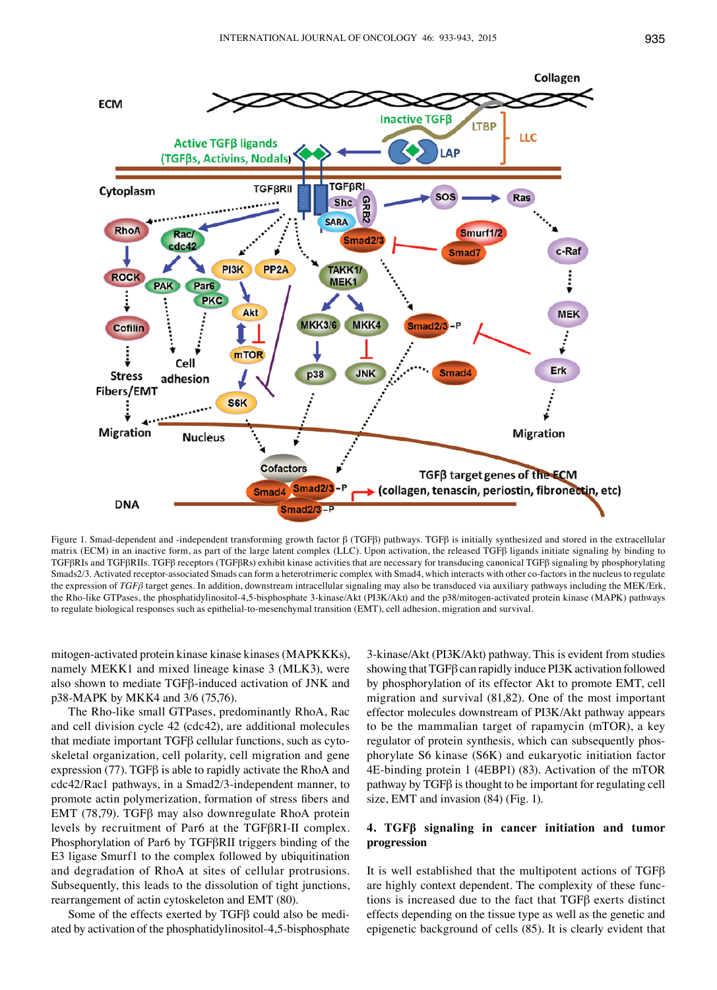

Figure 1. Smad‑dependent and ‑independent transforming growth factor β (TGFβ) pathways. TGFβ is initially synthesized and stored in the extracellular matrix (ECM) in an inactive form, as part of the large latent complex (LLC). Upon activation, the released TGFβ ligands initiate signaling by binding to TGFβRIs and TGFβRⅡs. TGFβ receptors (TGFβRs) exhibit kinase activities that are necessary for transducing canonical TGFβ signaling by phosphorylating Smads2/3. Activated receptor-associated Smads can form a heterotrimeric complex with Smad4, which interacts with other co-factors in the nucleus to regulate the expression of *TGFβ* target genes. In addition, downstream intracellular signaling may also be transduced via auxiliary pathways including the MEK/Erk, the Rho-like GTPases, the phosphatidylinositol-4,5-bisphosphate 3-kinase/Akt (PI3K/Akt) and the p38/mitogen-activated protein kinase (MAPK) pathways to regulate biological responses such as epithelial-to-mesenchymal transition (EMT), cell adhesion, migration and survival.

mitogen‑activated protein kinase kinase kinases(MAPKKKs), namely MEKK1 and mixed lineage kinase 3 (MLK3), were also shown to mediate TGFβ-induced activation of JNK and p38‑MAPK by MKK4 and 3/6 (75,76).

The Rho-like small GTPases, predominantly RhoA, Rac and cell division cycle 42 (cdc42), are additional molecules that mediate important TGFβ cellular functions, such as cytoskeletal organization, cell polarity, cell migration and gene expression (77). TGF $\beta$  is able to rapidly activate the RhoA and cdc42/Rac1 pathways, in a Smad2/3‑independent manner, to promote actin polymerization, formation of stress fibers and EMT (78,79). TGFβ may also downregulate RhoA protein levels by recruitment of Par6 at the TGFβRⅠ‑Ⅱ complex. Phosphorylation of Par6 by TGFβRⅡ triggers binding of the E3 ligase Smurf1 to the complex followed by ubiquitination and degradation of RhoA at sites of cellular protrusions. Subsequently, this leads to the dissolution of tight junctions, rearrangement of actin cytoskeleton and EMT (80).

Some of the effects exerted by TGFβ could also be mediated by activation of the phosphatidylinositol-4,5-bisphosphate

3‑kinase/Akt (PI3K/Akt) pathway. This is evident from studies showing that TGFβ can rapidly induce PI3K activation followed by phosphorylation of its effector Akt to promote EMT, cell migration and survival (81,82). One of the most important effector molecules downstream of PI3K/Akt pathway appears to be the mammalian target of rapamycin (mTOR), a key regulator of protein synthesis, which can subsequently phosphorylate S6 kinase (S6K) and eukaryotic initiation factor 4E‑binding protein 1 (4EBP1) (83). Activation of the mTOR pathway by TGFβ is thought to be important for regulating cell size, EMT and invasion (84) (Fig. 1).

# **4. TGFβ signaling in cancer initiation and tumor progression**

It is well established that the multipotent actions of TGFβ are highly context dependent. The complexity of these functions is increased due to the fact that TGFβ exerts distinct effects depending on the tissue type as well as the genetic and epigenetic background of cells (85). It is clearly evident that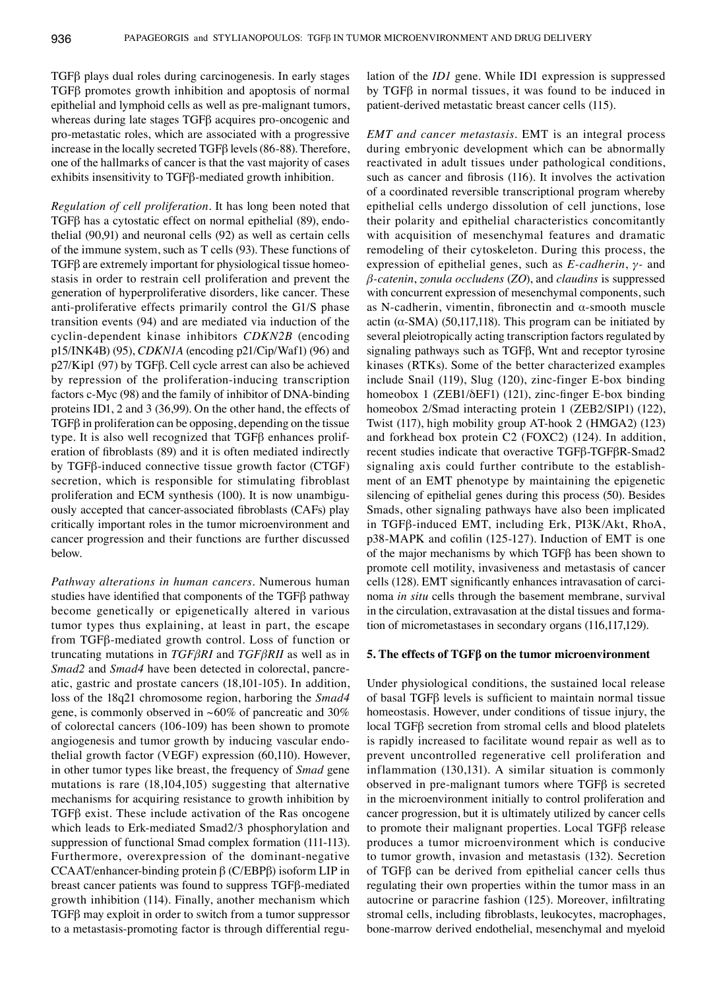TGFβ plays dual roles during carcinogenesis. In early stages TGFβ promotes growth inhibition and apoptosis of normal epithelial and lymphoid cells as well as pre-malignant tumors, whereas during late stages TGFβ acquires pro-oncogenic and pro-metastatic roles, which are associated with a progressive increase in the locally secreted TGFβ levels(86-88). Therefore, one of the hallmarks of cancer is that the vast majority of cases exhibits insensitivity to TGFβ-mediated growth inhibition.

*Regulation of cell proliferation.* It has long been noted that TGFβ has a cytostatic effect on normal epithelial (89), endothelial (90,91) and neuronal cells (92) as well as certain cells of the immune system, such as T cells (93). These functions of TGFβ are extremely important for physiological tissue homeostasis in order to restrain cell proliferation and prevent the generation of hyperproliferative disorders, like cancer. These anti-proliferative effects primarily control the G1/S phase transition events (94) and are mediated via induction of the cyclin-dependent kinase inhibitors *CDKN2B* (encoding p15/INK4B) (95), *CDKN1A* (encoding p21/Cip/Waf1) (96) and p27/Kip1 (97) by TGFβ. Cell cycle arrest can also be achieved by repression of the proliferation-inducing transcription factors c-Myc (98) and the family of inhibitor of DNA‑binding proteins ID1, 2 and 3 (36,99). On the other hand, the effects of TGFβ in proliferation can be opposing, depending on the tissue type. It is also well recognized that TGFβ enhances proliferation of fibroblasts (89) and it is often mediated indirectly by TGFβ-induced connective tissue growth factor (CTGF) secretion, which is responsible for stimulating fibroblast proliferation and ECM synthesis (100). It is now unambiguously accepted that cancer‑associated fibroblasts (CAFs) play critically important roles in the tumor microenvironment and cancer progression and their functions are further discussed below.

*Pathway alterations in human cancers.* Numerous human studies have identified that components of the TGFβ pathway become genetically or epigenetically altered in various tumor types thus explaining, at least in part, the escape from TGFβ-mediated growth control. Loss of function or truncating mutations in *TGFβRⅠ* and *TGFβRⅡ* as well as in *Smad2* and *Smad4* have been detected in colorectal, pancreatic, gastric and prostate cancers (18,101-105). In addition, loss of the 18q21 chromosome region, harboring the *Smad4* gene, is commonly observed in  $~60\%$  of pancreatic and 30% of colorectal cancers (106-109) has been shown to promote angiogenesis and tumor growth by inducing vascular endothelial growth factor (VEGF) expression (60,110). However, in other tumor types like breast, the frequency of *Smad* gene mutations is rare (18,104,105) suggesting that alternative mechanisms for acquiring resistance to growth inhibition by TGFβ exist. These include activation of the Ras oncogene which leads to Erk-mediated Smad2/3 phosphorylation and suppression of functional Smad complex formation (111-113). Furthermore, overexpression of the dominant-negative CCAAT/enhancer-binding protein β (C/EBPβ) isoform LIP in breast cancer patients was found to suppress TGFβ-mediated growth inhibition (114). Finally, another mechanism which TGFβ may exploit in order to switch from a tumor suppressor to a metastasis-promoting factor is through differential regulation of the *ID1* gene. While ID1 expression is suppressed by TGFβ in normal tissues, it was found to be induced in patient-derived metastatic breast cancer cells (115).

*EMT and cancer metastasis.* EMT is an integral process during embryonic development which can be abnormally reactivated in adult tissues under pathological conditions, such as cancer and fibrosis (116). It involves the activation of a coordinated reversible transcriptional program whereby epithelial cells undergo dissolution of cell junctions, lose their polarity and epithelial characteristics concomitantly with acquisition of mesenchymal features and dramatic remodeling of their cytoskeleton. During this process, the expression of epithelial genes, such as *E‑cadherin*, *γ‑* and *β‑catenin*, *zonula occludens* (*ZO*), and *claudins* is suppressed with concurrent expression of mesenchymal components, such as N-cadherin, vimentin, fibronectin and  $\alpha$ -smooth muscle actin ( $α$ -SMA) (50,117,118). This program can be initiated by several pleiotropically acting transcription factors regulated by signaling pathways such as TGFβ, Wnt and receptor tyrosine kinases (RTKs). Some of the better characterized examples include Snail (119), Slug (120), zinc-finger E-box binding homeobox 1 (ZEB1/δEF1) (121), zinc‑finger E‑box binding homeobox 2/Smad interacting protein 1 (ZEB2/SIP1) (122), Twist (117), high mobility group AT‑hook 2 (HMGA2) (123) and forkhead box protein C2 (FOXC2) (124). In addition, recent studies indicate that overactive TGFβ‑TGFβR‑Smad2 signaling axis could further contribute to the establishment of an EMT phenotype by maintaining the epigenetic silencing of epithelial genes during this process (50). Besides Smads, other signaling pathways have also been implicated in TGFβ‑induced EMT, including Erk, PI3K/Akt, RhoA, p38-MAPK and cofilin (125-127). Induction of EMT is one of the major mechanisms by which TGFβ has been shown to promote cell motility, invasiveness and metastasis of cancer cells (128). EMT significantly enhances intravasation of carcinoma *in situ* cells through the basement membrane, survival in the circulation, extravasation at the distal tissues and formation of micrometastases in secondary organs (116,117,129).

# **5. The effects of TGFβ on the tumor microenvironment**

Under physiological conditions, the sustained local release of basal TGFβ levels is sufficient to maintain normal tissue homeostasis. However, under conditions of tissue injury, the local TGFβ secretion from stromal cells and blood platelets is rapidly increased to facilitate wound repair as well as to prevent uncontrolled regenerative cell proliferation and inflammation (130,131). A similar situation is commonly observed in pre-malignant tumors where TGFβ is secreted in the microenvironment initially to control proliferation and cancer progression, but it is ultimately utilized by cancer cells to promote their malignant properties. Local TGFβ release produces a tumor microenvironment which is conducive to tumor growth, invasion and metastasis (132). Secretion of TGFβ can be derived from epithelial cancer cells thus regulating their own properties within the tumor mass in an autocrine or paracrine fashion (125). Moreover, infiltrating stromal cells, including fibroblasts, leukocytes, macrophages, bone-marrow derived endothelial, mesenchymal and myeloid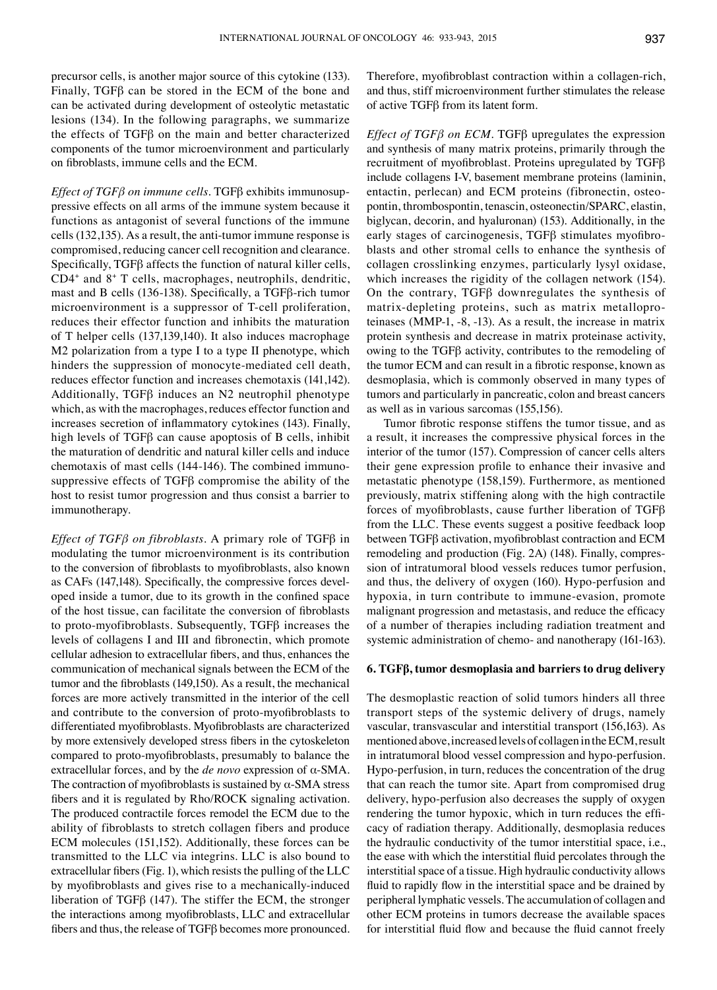precursor cells, is another major source of this cytokine (133). Finally, TGFβ can be stored in the ECM of the bone and can be activated during development of osteolytic metastatic lesions (134). In the following paragraphs, we summarize the effects of TGFβ on the main and better characterized components of the tumor microenvironment and particularly on fibroblasts, immune cells and the ECM.

*Effect of TGFβ on immune cells.* TGFβ exhibits immunosuppressive effects on all arms of the immune system because it functions as antagonist of several functions of the immune cells (132,135). As a result, the anti-tumor immune response is compromised, reducing cancer cell recognition and clearance. Specifically, TGFβ affects the function of natural killer cells, CD4+ and 8+ T cells, macrophages, neutrophils, dendritic, mast and B cells (136‑138). Specifically, a TGFβ-rich tumor microenvironment is a suppressor of T‑cell proliferation, reduces their effector function and inhibits the maturation of T helper cells (137,139,140). It also induces macrophage M2 polarization from a type I to a type II phenotype, which hinders the suppression of monocyte-mediated cell death, reduces effector function and increases chemotaxis (141,142). Additionally, TGFβ induces an N2 neutrophil phenotype which, as with the macrophages, reduces effector function and increases secretion of inflammatory cytokines (143). Finally, high levels of TGFβ can cause apoptosis of B cells, inhibit the maturation of dendritic and natural killer cells and induce chemotaxis of mast cells (144-146). The combined immunosuppressive effects of TGFβ compromise the ability of the host to resist tumor progression and thus consist a barrier to immunotherapy.

*Effect of TGFβ on fibroblasts.* A primary role of TGFβ in modulating the tumor microenvironment is its contribution to the conversion of fibroblasts to myofibroblasts, also known as CAFs (147,148). Specifically, the compressive forces developed inside a tumor, due to its growth in the confined space of the host tissue, can facilitate the conversion of fibroblasts to proto‑myofibroblasts. Subsequently, TGFβ increases the levels of collagens Ⅰ and Ⅲ and fibronectin, which promote cellular adhesion to extracellular fibers, and thus, enhances the communication of mechanical signals between the ECM of the tumor and the fibroblasts (149,150). As a result, the mechanical forces are more actively transmitted in the interior of the cell and contribute to the conversion of proto‑myofibroblasts to differentiated myofibroblasts. Myofibroblasts are characterized by more extensively developed stress fibers in the cytoskeleton compared to proto‑myofibroblasts, presumably to balance the extracellular forces, and by the *de novo* expression of α‑SMA. The contraction of myofibroblasts is sustained by  $\alpha$ -SMA stress fibers and it is regulated by Rho/ROCK signaling activation. The produced contractile forces remodel the ECM due to the ability of fibroblasts to stretch collagen fibers and produce ECM molecules (151,152). Additionally, these forces can be transmitted to the LLC via integrins. LLC is also bound to extracellular fibers (Fig. 1), which resists the pulling of the LLC by myofibroblasts and gives rise to a mechanically-induced liberation of TGFβ (147). The stiffer the ECM, the stronger the interactions among myofibroblasts, LLC and extracellular fibers and thus, the release of TGFβ becomes more pronounced. Therefore, myofibroblast contraction within a collagen-rich, and thus, stiff microenvironment further stimulates the release of active TGFβ from its latent form.

*Effect of TGFβ on ECM.* TGFβ upregulates the expression and synthesis of many matrix proteins, primarily through the recruitment of myofibroblast. Proteins upregulated by TGFβ include collagens Ⅰ‑Ⅴ, basement membrane proteins (laminin, entactin, perlecan) and ECM proteins (fibronectin, osteopontin, thrombospontin, tenascin, osteonectin/SPARC, elastin, biglycan, decorin, and hyaluronan) (153). Additionally, in the early stages of carcinogenesis, TGFβ stimulates myofibroblasts and other stromal cells to enhance the synthesis of collagen crosslinking enzymes, particularly lysyl oxidase, which increases the rigidity of the collagen network (154). On the contrary, TGFβ downregulates the synthesis of matrix-depleting proteins, such as matrix metalloproteinases (MMP‑1, ‑8, ‑13). As a result, the increase in matrix protein synthesis and decrease in matrix proteinase activity, owing to the TGFβ activity, contributes to the remodeling of the tumor ECM and can result in a fibrotic response, known as desmoplasia, which is commonly observed in many types of tumors and particularly in pancreatic, colon and breast cancers as well as in various sarcomas (155,156).

Tumor fibrotic response stiffens the tumor tissue, and as a result, it increases the compressive physical forces in the interior of the tumor (157). Compression of cancer cells alters their gene expression profile to enhance their invasive and metastatic phenotype (158,159). Furthermore, as mentioned previously, matrix stiffening along with the high contractile forces of myofibroblasts, cause further liberation of TGFβ from the LLC. These events suggest a positive feedback loop between TGFβ activation, myofibroblast contraction and ECM remodeling and production (Fig. 2A) (148). Finally, compression of intratumoral blood vessels reduces tumor perfusion, and thus, the delivery of oxygen (160). Hypo-perfusion and hypoxia, in turn contribute to immune-evasion, promote malignant progression and metastasis, and reduce the efficacy of a number of therapies including radiation treatment and systemic administration of chemo- and nanotherapy (161-163).

## **6. TGFβ, tumor desmoplasia and barriers to drug delivery**

The desmoplastic reaction of solid tumors hinders all three transport steps of the systemic delivery of drugs, namely vascular, transvascular and interstitial transport (156,163). As mentioned above, increased levels of collagen in the ECM, result in intratumoral blood vessel compression and hypo-perfusion. Hypo-perfusion, in turn, reduces the concentration of the drug that can reach the tumor site. Apart from compromised drug delivery, hypo-perfusion also decreases the supply of oxygen rendering the tumor hypoxic, which in turn reduces the efficacy of radiation therapy. Additionally, desmoplasia reduces the hydraulic conductivity of the tumor interstitial space, i.e., the ease with which the interstitial fluid percolates through the interstitial space of a tissue. High hydraulic conductivity allows fluid to rapidly flow in the interstitial space and be drained by peripheral lymphatic vessels. The accumulation of collagen and other ECM proteins in tumors decrease the available spaces for interstitial fluid flow and because the fluid cannot freely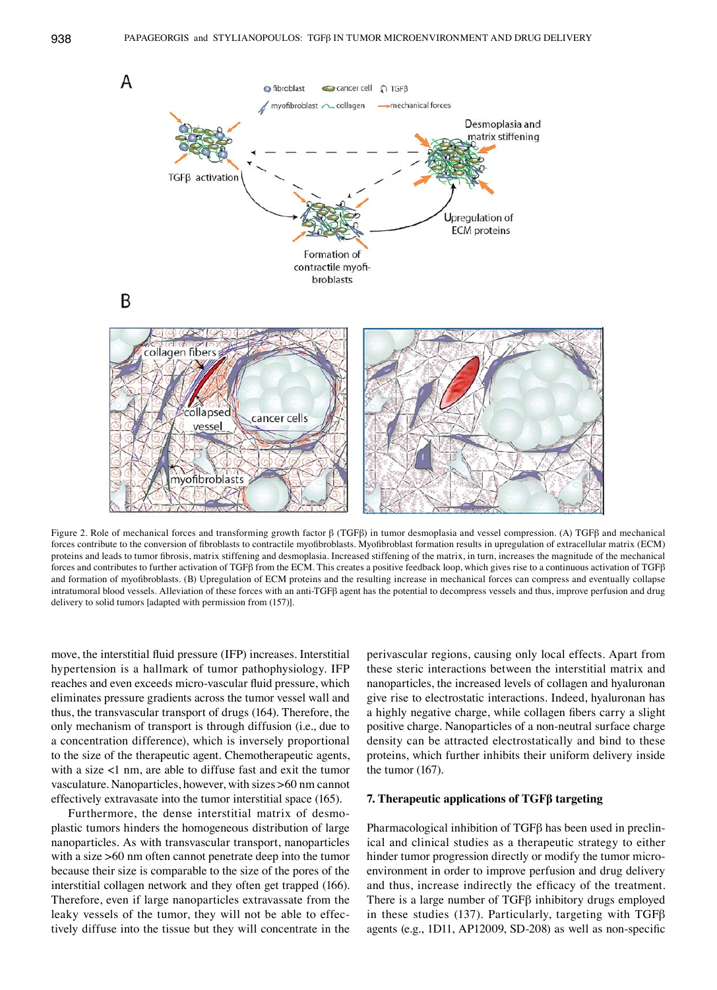

Figure 2. Role of mechanical forces and transforming growth factor β (TGFβ) in tumor desmoplasia and vessel compression. (A) TGFβ and mechanical forces contribute to the conversion of fibroblasts to contractile myofibroblasts. Myofibroblast formation results in upregulation of extracellular matrix (ECM) proteins and leads to tumor fibrosis, matrix stiffening and desmoplasia. Increased stiffening of the matrix, in turn, increases the magnitude of the mechanical forces and contributes to further activation of TGFβ from the ECM. This creates a positive feedback loop, which gives rise to a continuous activation of TGFβ and formation of myofibroblasts. (B) Upregulation of ECM proteins and the resulting increase in mechanical forces can compress and eventually collapse intratumoral blood vessels. Alleviation of these forces with an anti-TGFβ agent has the potential to decompress vessels and thus, improve perfusion and drug delivery to solid tumors [adapted with permission from (157)].

move, the interstitial fluid pressure (IFP) increases. Interstitial hypertension is a hallmark of tumor pathophysiology. IFP reaches and even exceeds micro‑vascular fluid pressure, which eliminates pressure gradients across the tumor vessel wall and thus, the transvascular transport of drugs (164). Therefore, the only mechanism of transport is through diffusion (i.e., due to a concentration difference), which is inversely proportional to the size of the therapeutic agent. Chemotherapeutic agents, with a size <1 nm, are able to diffuse fast and exit the tumor vasculature. Nanoparticles, however, with sizes >60 nm cannot effectively extravasate into the tumor interstitial space (165).

Furthermore, the dense interstitial matrix of desmoplastic tumors hinders the homogeneous distribution of large nanoparticles. As with transvascular transport, nanoparticles with a size  $>60$  nm often cannot penetrate deep into the tumor because their size is comparable to the size of the pores of the interstitial collagen network and they often get trapped (166). Therefore, even if large nanoparticles extravassate from the leaky vessels of the tumor, they will not be able to effectively diffuse into the tissue but they will concentrate in the perivascular regions, causing only local effects. Apart from these steric interactions between the interstitial matrix and nanoparticles, the increased levels of collagen and hyaluronan give rise to electrostatic interactions. Indeed, hyaluronan has a highly negative charge, while collagen fibers carry a slight positive charge. Nanoparticles of a non-neutral surface charge density can be attracted electrostatically and bind to these proteins, which further inhibits their uniform delivery inside the tumor (167).

# **7. Therapeutic applications of TGFβ targeting**

Pharmacological inhibition of TGFβ has been used in preclinical and clinical studies as a therapeutic strategy to either hinder tumor progression directly or modify the tumor microenvironment in order to improve perfusion and drug delivery and thus, increase indirectly the efficacy of the treatment. There is a large number of TGFβ inhibitory drugs employed in these studies (137). Particularly, targeting with TGF $\beta$ agents (e.g., 1D11, AP12009, SD-208) as well as non-specific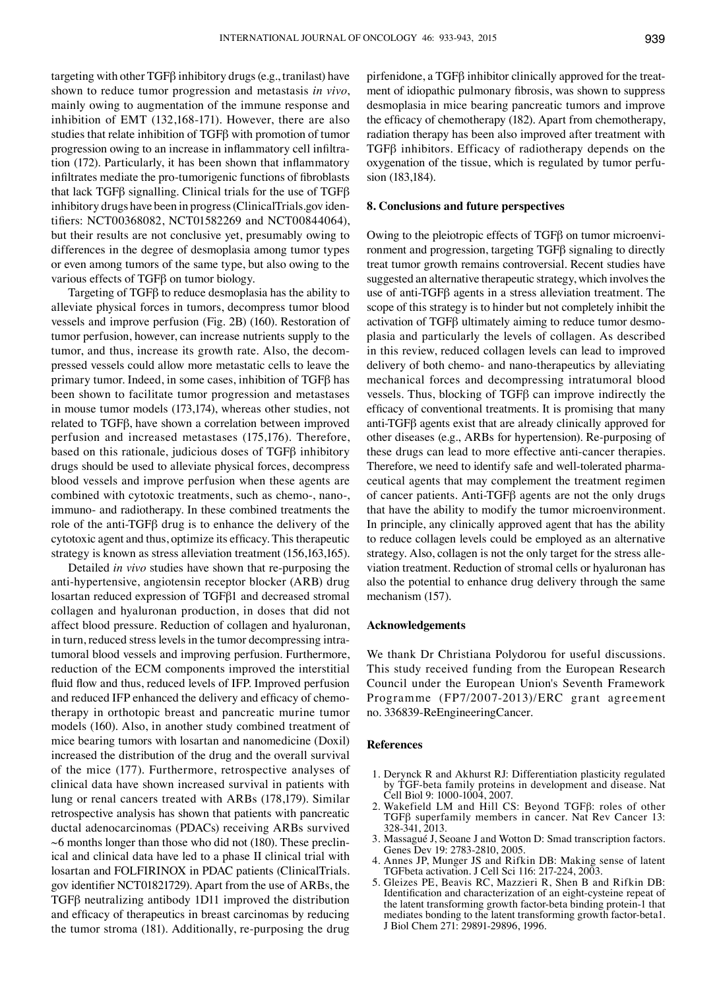targeting with other TGFβ inhibitory drugs(e.g., tranilast) have shown to reduce tumor progression and metastasis *in vivo*, mainly owing to augmentation of the immune response and inhibition of EMT (132,168-171). However, there are also studies that relate inhibition of TGFβ with promotion of tumor progression owing to an increase in inflammatory cell infiltration (172). Particularly, it has been shown that inflammatory infiltrates mediate the pro‑tumorigenic functions of fibroblasts that lack TGFβ signalling. Clinical trials for the use of TGFβ inhibitory drugs have been in progress(ClinicalTrials.gov identifiers: NCT00368082, NCT01582269 and NCT00844064), but their results are not conclusive yet, presumably owing to differences in the degree of desmoplasia among tumor types or even among tumors of the same type, but also owing to the various effects of TGFβ on tumor biology.

Targeting of TGFβ to reduce desmoplasia has the ability to alleviate physical forces in tumors, decompress tumor blood vessels and improve perfusion (Fig. 2B) (160). Restoration of tumor perfusion, however, can increase nutrients supply to the tumor, and thus, increase its growth rate. Also, the decompressed vessels could allow more metastatic cells to leave the primary tumor. Indeed, in some cases, inhibition of TGFβ has been shown to facilitate tumor progression and metastases in mouse tumor models (173,174), whereas other studies, not related to TGFβ, have shown a correlation between improved perfusion and increased metastases (175,176). Therefore, based on this rationale, judicious doses of TGFβ inhibitory drugs should be used to alleviate physical forces, decompress blood vessels and improve perfusion when these agents are combined with cytotoxic treatments, such as chemo-, nano-, immuno- and radiotherapy. In these combined treatments the role of the anti‑TGFβ drug is to enhance the delivery of the cytotoxic agent and thus, optimize its efficacy. This therapeutic strategy is known as stress alleviation treatment (156,163,165).

Detailed *in vivo* studies have shown that re-purposing the anti-hypertensive, angiotensin receptor blocker (ARB) drug losartan reduced expression of TGFβ1 and decreased stromal collagen and hyaluronan production, in doses that did not affect blood pressure. Reduction of collagen and hyaluronan, in turn, reduced stress levels in the tumor decompressing intratumoral blood vessels and improving perfusion. Furthermore, reduction of the ECM components improved the interstitial fluid flow and thus, reduced levels of IFP. Improved perfusion and reduced IFP enhanced the delivery and efficacy of chemotherapy in orthotopic breast and pancreatic murine tumor models (160). Also, in another study combined treatment of mice bearing tumors with losartan and nanomedicine (Doxil) increased the distribution of the drug and the overall survival of the mice (177). Furthermore, retrospective analyses of clinical data have shown increased survival in patients with lung or renal cancers treated with ARBs (178,179). Similar retrospective analysis has shown that patients with pancreatic ductal adenocarcinomas (PDACs) receiving ARBs survived  $~6$  months longer than those who did not (180). These preclinical and clinical data have led to a phase Ⅱ clinical trial with losartan and FOLFIRINOX in PDAC patients (ClinicalTrials. gov identifier NCT01821729). Apart from the use of ARBs, the TGFβ neutralizing antibody 1D11 improved the distribution and efficacy of therapeutics in breast carcinomas by reducing the tumor stroma (181). Additionally, re-purposing the drug pirfenidone, a TGFβ inhibitor clinically approved for the treatment of idiopathic pulmonary fibrosis, was shown to suppress desmoplasia in mice bearing pancreatic tumors and improve the efficacy of chemotherapy (182). Apart from chemotherapy, radiation therapy has been also improved after treatment with TGFβ inhibitors. Efficacy of radiotherapy depends on the oxygenation of the tissue, which is regulated by tumor perfusion (183,184).

## **8. Conclusions and future perspectives**

Owing to the pleiotropic effects of TGFβ on tumor microenvironment and progression, targeting TGFβ signaling to directly treat tumor growth remains controversial. Recent studies have suggested an alternative therapeutic strategy, which involves the use of anti‑TGFβ agents in a stress alleviation treatment. The scope of this strategy is to hinder but not completely inhibit the activation of TGFβ ultimately aiming to reduce tumor desmoplasia and particularly the levels of collagen. As described in this review, reduced collagen levels can lead to improved delivery of both chemo- and nano-therapeutics by alleviating mechanical forces and decompressing intratumoral blood vessels. Thus, blocking of TGFβ can improve indirectly the efficacy of conventional treatments. It is promising that many anti‑TGFβ agents exist that are already clinically approved for other diseases (e.g., ARBs for hypertension). Re-purposing of these drugs can lead to more effective anti-cancer therapies. Therefore, we need to identify safe and well-tolerated pharmaceutical agents that may complement the treatment regimen of cancer patients. Anti‑TGFβ agents are not the only drugs that have the ability to modify the tumor microenvironment. In principle, any clinically approved agent that has the ability to reduce collagen levels could be employed as an alternative strategy. Also, collagen is not the only target for the stress alleviation treatment. Reduction of stromal cells or hyaluronan has also the potential to enhance drug delivery through the same mechanism (157).

#### **Acknowledgements**

We thank Dr Christiana Polydorou for useful discussions. This study received funding from the European Research Council under the European Union's Seventh Framework Programme (FP7/2007‑2013)/ERC grant agreement no. 336839‑ReEngineeringCancer.

### **References**

- 1. Derynck R and Akhurst RJ: Differentiation plasticity regulated by TGF‑beta family proteins in development and disease. Nat Cell Biol 9: 1000-1004, 2007.
- 2. Wakefield LM and Hill CS: Beyond TGFβ: roles of other TGFβ superfamily members in cancer. Nat Rev Cancer 13: 328-341, 2013.
- 3. Massagué J, Seoane J and Wotton D: Smad transcription factors. Genes Dev 19: 2783-2810, 2005.
- 4. Annes JP, Munger JS and Rifkin DB: Making sense of latent TGFbeta activation. J Cell Sci 116: 217‑224, 2003.
- 5. Gleizes PE, Beavis RC, Mazzieri R, Shen B and Rifkin DB: Identification and characterization of an eight-cysteine repeat of the latent transforming growth factor-beta binding protein-1 that mediates bonding to the latent transforming growth factor-beta1. J Biol Chem 271: 29891-29896, 1996.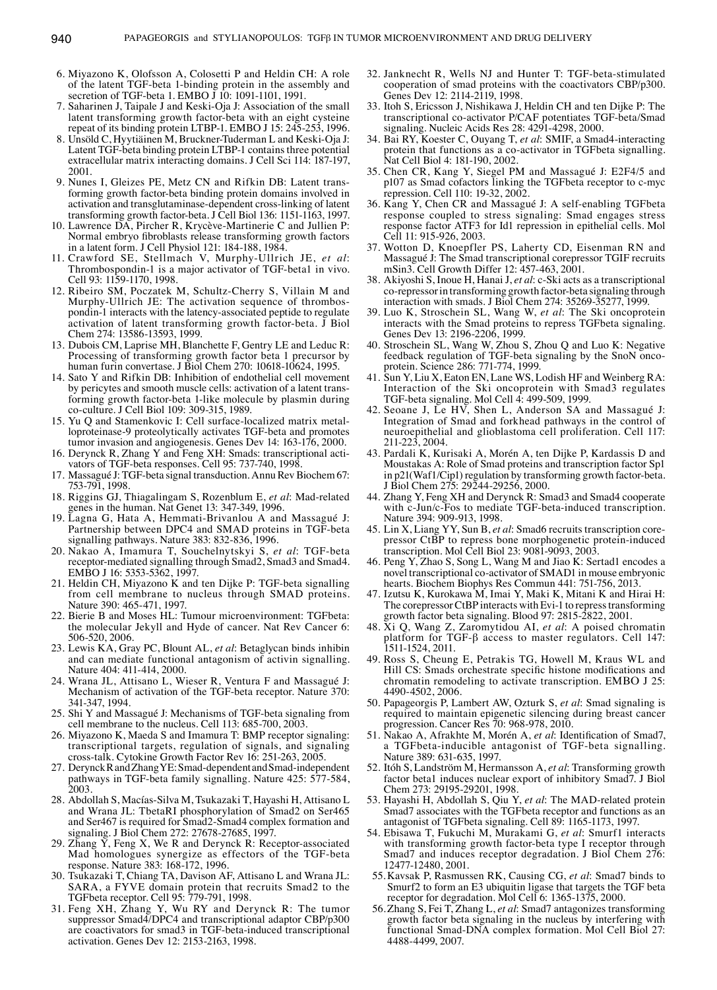- 6. Miyazono K, Olofsson A, Colosetti P and Heldin CH: A role of the latent TGF‑beta 1-binding protein in the assembly and secretion of TGF-beta 1. EMBO  $\tilde{J}$  10: 1091-1101, 1991.
- 7. Saharinen J, Taipale J and Keski‑Oja J: Association of the small latent transforming growth factor-beta with an eight cysteine repeat of its binding protein LTBP‑1. EMBO J 15: 245‑253, 1996.
- 8. Unsöld C, Hyytiäinen M, Bruckner-Tuderman L and Keski-Oja J: Latent TGF‑beta binding protein LTBP‑1 contains three potential extracellular matrix interacting domains. J Cell Sci 114: 187-197, 2001.
- 9. Nunes I, Gleizes PE, Metz CN and Rifkin DB: Latent transforming growth factor-beta binding protein domains involved in activation and transglutaminase-dependent cross-linking of latent transforming growth factor-beta. J Cell Biol 136: 1151-1163, 1997.
- 10. Lawrence DA, Pircher R, Krycève‑Martinerie C and Jullien P: Normal embryo fibroblasts release transforming growth factors in a latent form. J Cell Physiol 121: 184‑188, 1984.
- 11. Crawford SE, Stellmach V, Murphy‑Ullrich JE, *et al*: Thrombospondin-1 is a major activator of TGF‑beta1 in vivo. Cell 93: 1159-1170, 1998.
- 12. Ribeiro SM, Poczatek M, Schultz‑Cherry S, Villain M and Murphy‑Ullrich JE: The activation sequence of thrombospondin-1 interacts with the latency-associated peptide to regulate activation of latent transforming growth factor-beta. J Biol Chem 274: 13586-13593, 1999.
- 13. Dubois CM, Laprise MH, Blanchette F, Gentry LE and Leduc R: Processing of transforming growth factor beta 1 precursor by human furin convertase. J Biol Chem 270: 10618-10624, 1995.
- 14. Sato Y and Rifkin DB: Inhibition of endothelial cell movement by pericytes and smooth muscle cells: activation of a latent transforming growth factor-beta 1-like molecule by plasmin during co-culture. J Cell Biol 109: 309-315, 1989.
- 15. Yu Q and Stamenkovic I: Cell surface‑localized matrix metalloproteinase-9 proteolytically activates TGF‑beta and promotes tumor invasion and angiogenesis. Genes Dev 14: 163-176, 2000.
- 16. Derynck R, Zhang Y and Feng XH: Smads: transcriptional activators of TGF‑beta responses. Cell 95: 737-740, 1998.
- 17. Massagué J: TGF‑beta signal transduction. Annu Rev Biochem 67: 753-791, 1998.
- 18. Riggins GJ, Thiagalingam S, Rozenblum E, *et al*: Mad-related genes in the human. Nat Genet 13: 347-349, 1996.
- 19. Lagna G, Hata A, Hemmati-Brivanlou A and Massagué J: Partnership between DPC4 and SMAD proteins in TGF‑beta signalling pathways. Nature 383: 832-836, 1996.
- 20. Nakao A, Imamura T, Souchelnytskyi S, *et al*: TGF‑beta receptor-mediated signalling through Smad2, Smad3 and Smad4. EMBO J 16: 5353-5362, 1997.
- 21. Heldin CH, Miyazono K and ten Dijke P: TGF‑beta signalling from cell membrane to nucleus through SMAD proteins. Nature 390: 465-471, 1997.
- 22. Bierie B and Moses HL: Tumour microenvironment: TGFbeta: the molecular Jekyll and Hyde of cancer. Nat Rev Cancer 6: 506-520, 2006.
- 23. Lewis KA, Gray PC, Blount AL, *et al*: Betaglycan binds inhibin and can mediate functional antagonism of activin signalling. Nature 404: 411-414, 2000.
- 24. Wrana JL, Attisano L, Wieser R, Ventura F and Massagué J: Mechanism of activation of the TGF‑beta receptor. Nature 370: 341-347, 1994.
- 25. Shi Y and Massagué J: Mechanisms of TGF‑beta signaling from cell membrane to the nucleus. Cell 113: 685-700, 2003.
- 26. Miyazono K, Maeda S and Imamura T: BMP receptor signaling: transcriptional targets, regulation of signals, and signaling cross-talk. Cytokine Growth Factor Rev 16: 251-263, 2005.
- 27. Derynck R and Zhang YE: Smad‑dependent and Smad‑independent pathways in TGF‑beta family signalling. Nature 425: 577-584, 2003.
- 28. Abdollah S, Macías-Silva M, Tsukazaki T, Hayashi H, Attisano L and Wrana JL: TbetaRI phosphorylation of Smad2 on Ser465 and Ser467 is required for Smad2‑Smad4 complex formation and signaling. J Biol Chem 272: 27678-27685, 1997.
- 29. Zhang  $\bar{Y}$ , Feng X, We R and Derynck R: Receptor-associated Mad homologues synergize as effectors of the TGF‑beta response. Nature 383: 168-172, 1996.
- 30. Tsukazaki T, Chiang TA, Davison AF, Attisano L and Wrana JL: SARA, a FYVE domain protein that recruits Smad2 to the TGFbeta receptor. Cell 95: 779-791, 1998.
- 31. Feng XH, Zhang Y, Wu RY and Derynck R: The tumor suppressor Smad4/DPC4 and transcriptional adaptor CBP/p300 are coactivators for smad3 in TGF‑beta-induced transcriptional activation. Genes Dev 12: 2153-2163, 1998.
- 32. Janknecht R, Wells NJ and Hunter T: TGF‑beta-stimulated cooperation of smad proteins with the coactivators CBP/p300. Genes Dev 12: 2114-2119, 1998.
- 33. Itoh S, Ericsson J, Nishikawa J, Heldin CH and ten Dijke P: The transcriptional co‑activator P/CAF potentiates TGF‑beta/Smad signaling. Nucleic Acids Res 28: 4291-4298, 2000.
- 34. Bai RY, Koester C, Ouyang T, *et al*: SMIF, a Smad4‑interacting protein that functions as a co-activator in TGFbeta signalling. Nat Cell Biol 4: 181-190, 2002.
- 35. Chen CR, Kang Y, Siegel PM and Massagué J: E2F4/5 and p107 as Smad cofactors linking the TGFbeta receptor to c‑myc repression. Cell 110: 19-32, 2002.
- 36. Kang Y, Chen CR and Massagué J: A self-enabling TGFbeta response coupled to stress signaling: Smad engages stress response factor ATF3 for Id1 repression in epithelial cells. Mol Cell 11: 915-926, 2003.
- 37. Wotton D, Knoepfler PS, Laherty CD, Eisenman RN and Massagué J: The Smad transcriptional corepressor TGIF recruits mSin3. Cell Growth Differ 12: 457‑463, 2001.
- 38. Akiyoshi S, Inoue H, Hanai J, *et al*: c‑Ski acts as a transcriptional co-repressor in transforming growth factor-beta signaling through interaction with smads. J Biol Chem 274: 35269-35277, 1999.
- 39. Luo K, Stroschein SL, Wang W, *et al*: The Ski oncoprotein interacts with the Smad proteins to repress TGFbeta signaling. Genes Dev 13: 2196-2206, 1999.
- 40. Stroschein SL, Wang W, Zhou S, Zhou Q and Luo K: Negative feedback regulation of TGF‑beta signaling by the SnoN oncoprotein. Science 286: 771‑774, 1999.
- 41. Sun Y, Liu X, Eaton EN, Lane WS, Lodish HF and Weinberg RA: Interaction of the Ski oncoprotein with Smad3 regulates TGF‑beta signaling. Mol Cell 4: 499-509, 1999.
- 42. Seoane J, Le HV, Shen L, Anderson SA and Massagué J: Integration of Smad and forkhead pathways in the control of neuroepithelial and glioblastoma cell proliferation. Cell 117: 211-223, 2004.
- 43. Pardali K, Kurisaki A, Morén A, ten Dijke P, Kardassis D and Moustakas A: Role of Smad proteins and transcription factor Sp1 in p21(Waf1/Cip1) regulation by transforming growth factor-beta. J Biol Chem 275: 29244-29256, 2000.
- 44. Zhang Y, Feng XH and Derynck R: Smad3 and Smad4 cooperate with c‑Jun/c‑Fos to mediate TGF‑beta-induced transcription. Nature 394: 909-913, 1998.
- 45. Lin X, Liang YY, Sun B, *et al*: Smad6 recruits transcription corepressor CtBP to repress bone morphogenetic protein‑induced transcription. Mol Cell Biol 23: 9081-9093, 2003.
- 46. Peng Y, Zhao S, Song L, Wang M and Jiao K: Sertad1 encodes a novel transcriptional co‑activator of SMAD1 in mouse embryonic hearts. Biochem Biophys Res Commun 441: 751-756, 2013.
- 47. Izutsu K, Kurokawa M, Imai Y, Maki K, Mitani K and Hirai H: The corepressor CtBP interacts with Evi-1 to repress transforming growth factor beta signaling. Blood 97: 2815-2822, 2001.
- 48. Xi Q, Wang Z, Zaromytidou AI, *et al*: A poised chromatin platform for TGF‑β access to master regulators. Cell 147: 1511-1524, 2011.
- 49. Ross S, Cheung E, Petrakis TG, Howell M, Kraus WL and Hill CS: Smads orchestrate specific histone modifications and chromatin remodeling to activate transcription. EΜΒΟ J 25: 4490-4502, 2006.
- 50. Papageorgis P, Lambert AW, Ozturk S, *et al*: Smad signaling is required to maintain epigenetic silencing during breast cancer progression. Cancer Res 70: 968-978, 2010.
- 51. Nakao A, Afrakhte M, Morén A, *et al*: Identification of Smad7, a TGFbeta-inducible antagonist of TGF‑beta signalling. Nature 389: 631-635, 1997.
- 52. Itóh S, Landström M, Hermansson A, *et al*: Transforming growth factor beta1 induces nuclear export of inhibitory Smad7. J Biol Chem 273: 29195-29201, 1998.
- 53. Hayashi H, Abdollah S, Qiu Y, *et al*: The MAD-related protein Smad7 associates with the TGFbeta receptor and functions as an antagonist of TGFbeta signaling. Cell 89: 1165-1173, 1997.
- 54. Ebisawa T, Fukuchi M, Murakami G, *et al*: Smurf1 interacts with transforming growth factor-beta type I receptor through Smad7 and induces receptor degradation. J Biol Chem 276: 12477-12480, 2001.
- 55.Kavsak P, Rasmussen RK, Causing CG, *et al*: Smad7 binds to Smurf2 to form an E3 ubiquitin ligase that targets the TGF beta receptor for degradation. Mol Cell 6: 1365-1375, 2000.
- 56.Zhang S, Fei T, Zhang L, *et al*: Smad7 antagonizes transforming growth factor beta signaling in the nucleus by interfering with functional Smad‑DNA complex formation. Mol Cell Biol 27: 4488-4499, 2007.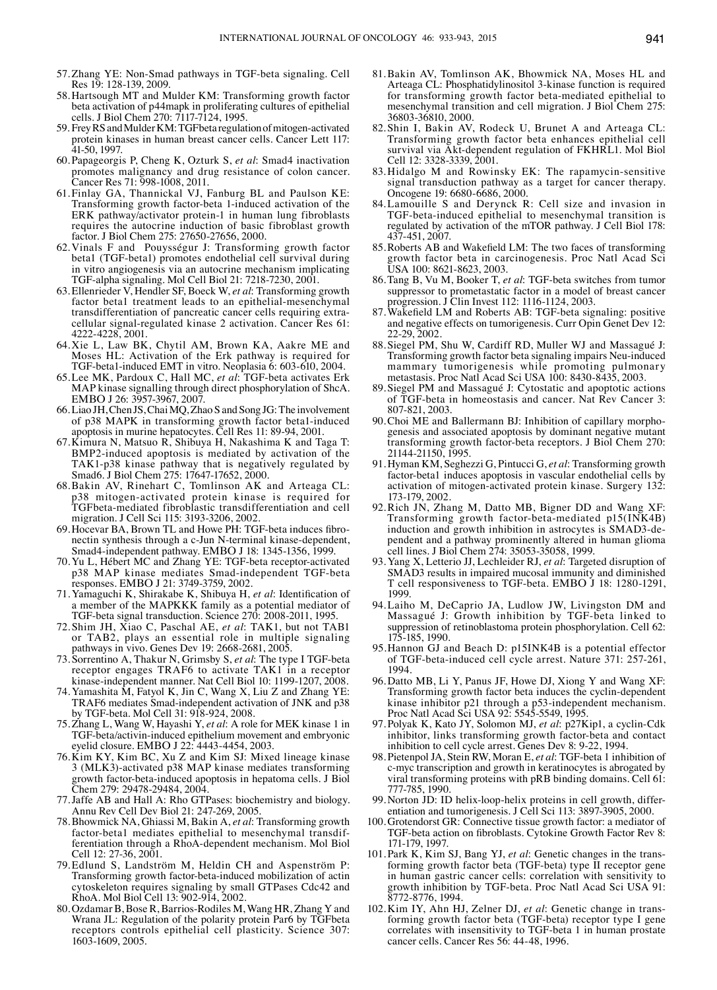- 57.Zhang YE: Non‑Smad pathways in TGF‑beta signaling. Cell Res 19: 128-139, 2009.
- 58.Hartsough MT and Mulder KM: Transforming growth factor beta activation of p44mapk in proliferating cultures of epithelial cells. J Biol Chem 270: 7117-7124, 1995.
- 59. Frey RS and Mulder KM: TGFbeta regulation of mitogen‑activated protein kinases in human breast cancer cells. Cancer Lett 117: 41-50, 1997.
- 60. Papageorgis P, Cheng K, Ozturk S, *et al*: Smad4 inactivation promotes malignancy and drug resistance of colon cancer. Cancer Res 71: 998-1008, 2011.
- 61. Finlay GA, Thannickal VJ, Fanburg BL and Paulson KE: Transforming growth factor-beta 1-induced activation of the ERK pathway/activator protein-1 in human lung fibroblasts requires the autocrine induction of basic fibroblast growth factor. J Biol Chem 275: 27650-27656, 2000.
- 62.Vinals F and Pouysségur J: Transforming growth factor beta1 (TGF‑beta1) promotes endothelial cell survival during in vitro angiogenesis via an autocrine mechanism implicating TGF‑alpha signaling. Mol Cell Biol 21: 7218-7230, 2001.
- 63.Ellenrieder V, Hendler SF, Boeck W, *et al*: Transforming growth factor beta1 treatment leads to an epithelial-mesenchymal transdifferentiation of pancreatic cancer cells requiring extracellular signal-regulated kinase 2 activation. Cancer Res 61: 4222-4228, 2001.
- 64.Xie L, Law BK, Chytil AM, Brown KA, Aakre ME and Moses HL: Activation of the Erk pathway is required for TGF‑beta1-induced EMT in vitro. Neoplasia 6: 603-610, 2004.
- 65.Lee MK, Pardoux C, Hall MC, *et al*: TGF‑beta activates Erk MAP kinase signalling through direct phosphorylation of ShcA. EΜΒΟ J 26: 3957‑3967, 2007.
- 66. Liao JH, Chen JS, Chai MQ, Zhao S and Song JG: The involvement of p38 MAPK in transforming growth factor beta1‑induced apoptosis in murine hepatocytes. Cell Res 11: 89-94, 2001.
- 67.Kimura N, Matsuo R, Shibuya H, Nakashima K and Taga T: BMP2‑induced apoptosis is mediated by activation of the TAK1-p38 kinase pathway that is negatively regulated by Smad6. J Biol Chem 275: 17647‑17652, 2000.
- 68.Bakin AV, Rinehart C, Tomlinson AK and Arteaga CL: p38 mitogen-activated protein kinase is required for TGFbeta-mediated fibroblastic transdifferentiation and cell migration. J Cell Sci 115: 3193‑3206, 2002.
- 69.Hocevar BA, Brown TL and Howe PH: TGF‑beta induces fibronectin synthesis through a c‑Jun N‑terminal kinase-dependent, Smad4‑independent pathway. EΜΒΟ J 18: 1345‑1356, 1999.
- 70.Yu L, Hébert MC and Zhang YE: TGF‑beta receptor-activated p38 MAP kinase mediates Smad‑independent TGF‑beta responses. EΜΒΟ J 21: 3749‑3759, 2002.
- 71.Yamaguchi K, Shirakabe K, Shibuya H, *et al*: Identification of a member of the MAPKKK family as a potential mediator of TGF‑beta signal transduction. Science 270: 2008‑2011, 1995.
- 72. Shim JH, Xiao C, Paschal AE, *et al*: TAK1, but not TAB1 or TAB2, plays an essential role in multiple signaling pathways in vivo. Genes Dev 19: 2668-2681, 2005.
- 73. Sorrentino A, Thakur N, Grimsby S, *et al*: The type Ⅰ TGF‑beta receptor engages TRAF6 to activate TAK1 in a receptor kinase-independent manner. Nat Cell Biol 10: 1199-1207, 2008.
- 74.Yamashita M, Fatyol K, Jin C, Wang X, Liu Z and Zhang YE: TRAF6 mediates Smad‑independent activation of JNK and p38 by TGF‑beta. Mol Cell 31: 918-924, 2008.
- 75.Zhang L, Wang W, Hayashi Y, *et al*: A role for MEK kinase 1 in TGF‑beta/activin-induced epithelium movement and embryonic eyelid closure. EΜΒΟ J 22: 4443‑4454, 2003.
- 76.Kim KY, Kim BC, Xu Z and Kim SJ: Mixed lineage kinase 3 (MLK3)‑activated p38 MAP kinase mediates transforming growth factor-beta-induced apoptosis in hepatoma cells. J Biol Chem 279: 29478-29484, 2004.
- 77.Jaffe AB and Hall A: Rho GTPases: biochemistry and biology. Annu Rev Cell Dev Biol 21: 247-269, 2005.
- 78.Bhowmick NA, Ghiassi M, Bakin A, *et al*: Transforming growth factor-beta1 mediates epithelial to mesenchymal transdifferentiation through a RhoA‑dependent mechanism. Mol Biol Cell 12: 27-36, 2001.
- 79.Edlund S, Landström M, Heldin CH and Aspenström P: Transforming growth factor-beta-induced mobilization of actin cytoskeleton requires signaling by small GTPases Cdc42 and RhoA. Mol Biol Cell 13: 902-914, 2002.
- 80.Ozdamar B, Bose R, Barrios‑Rodiles M, Wang HR, Zhang Y and Wrana JL: Regulation of the polarity protein Par6 by TGFbeta receptors controls epithelial cell plasticity. Science 307: 1603-1609, 2005.
- 81.Bakin AV, Tomlinson AK, Bhowmick NA, Moses HL and Arteaga CL: Phosphatidylinositol 3‑kinase function is required for transforming growth factor beta-mediated epithelial to mesenchymal transition and cell migration. J Biol Chem 275: 36803-36810, 2000.
- 82. Shin I, Bakin AV, Rodeck U, Brunet A and Arteaga CL: Transforming growth factor beta enhances epithelial cell survival via Akt-dependent regulation of FKHRL1. Mol Biol Cell 12: 3328-3339, 2001.
- 83.Hidalgo M and Rowinsky EK: The rapamycin-sensitive signal transduction pathway as a target for cancer therapy. Oncogene 19: 6680-6686, 2000.
- 84.Lamouille S and Derynck R: Cell size and invasion in TGF‑beta-induced epithelial to mesenchymal transition is regulated by activation of the mTOR pathway. J Cell Biol 178: 437-451, 2007.
- 85.Roberts AB and Wakefield LM: The two faces of transforming growth factor beta in carcinogenesis. Proc Natl Acad Sci USA 100: 8621‑8623, 2003.
- 86.Tang B, Vu M, Booker T, *et al*: TGF‑beta switches from tumor suppressor to prometastatic factor in a model of breast cancer progression. J Clin Invest 112: 1116-1124, 2003.
- 87.Wakefield LM and Roberts AB: TGF‑beta signaling: positive and negative effects on tumorigenesis. Curr Opin Genet Dev 12: 22-29, 2002.
- 88. Siegel PM, Shu W, Cardiff RD, Muller WJ and Massagué J: Transforming growth factor beta signaling impairs Neu-induced mammary tumorigenesis while promoting pulmonary metastasis. Proc Natl Acad Sci USA 100: 8430‑8435, 2003.
- 89. Siegel PM and Massagué J: Cytostatic and apoptotic actions of TGF‑beta in homeostasis and cancer. Nat Rev Cancer 3: 807-821, 2003.
- 90.Choi ME and Ballermann BJ: Inhibition of capillary morphogenesis and associated apoptosis by dominant negative mutant transforming growth factor-beta receptors. J Biol Chem 270: 21144-21150, 1995.
- 91.Hyman KM, Seghezzi G, Pintucci G, *et al*: Transforming growth factor-beta1 induces apoptosis in vascular endothelial cells by activation of mitogen-activated protein kinase. Surgery 132: 173-179, 2002.
- 92.Rich JN, Zhang M, Datto MB, Bigner DD and Wang XF: Transforming growth factor-beta-mediated p15(INK4B) induction and growth inhibition in astrocytes is SMAD3‑dependent and a pathway prominently altered in human glioma cell lines. J Biol Chem 274: 35053-35058, 1999.
- 93.Yang X, Letterio JJ, Lechleider RJ, *et al*: Targeted disruption of SMAD3 results in impaired mucosal immunity and diminished T cell responsiveness to TGF-beta. EMBO J 18: 1280-1291, 1999.
- 94.Laiho M, DeCaprio JA, Ludlow JW, Livingston DM and Massagué J: Growth inhibition by TGF‑beta linked to suppression of retinoblastoma protein phosphorylation. Cell 62: 175-185, 1990.
- 95.Hannon GJ and Beach D: p15INK4B is a potential effector of TGF‑beta-induced cell cycle arrest. Nature 371: 257-261, 1994.
- 96.Datto MB, Li Y, Panus JF, Howe DJ, Xiong Y and Wang XF: Transforming growth factor beta induces the cyclin-dependent kinase inhibitor p21 through a p53-independent mechanism. Proc Natl Acad Sci USA 92: 5545‑5549, 1995.
- 97. Polyak K, Kato JY, Solomon MJ, *et al*: p27Kip1, a cyclin‑Cdk inhibitor, links transforming growth factor-beta and contact inhibition to cell cycle arrest. Genes Dev 8: 9-22, 1994.
- 98. Pietenpol JA, Stein RW, Moran E, *et al*: TGF‑beta 1 inhibition of c-myc transcription and growth in keratinocytes is abrogated by viral transforming proteins with pRB binding domains. Cell 61: 777-785, 1990.
- 99.Norton JD: ID helix-loop-helix proteins in cell growth, differ- entiation and tumorigenesis. J Cell Sci 113: 3897‑3905, 2000.
- 100.Grotendorst GR: Connective tissue growth factor: a mediator of TGF‑beta action on fibroblasts. Cytokine Growth Factor Rev 8: 171-179, 1997.
- 101. Park K, Kim SJ, Bang YJ, *et al*: Genetic changes in the transforming growth factor beta (TGF‑beta) type Ⅱ receptor gene in human gastric cancer cells: correlation with sensitivity to growth inhibition by TGF‑beta. Proc Natl Acad Sci USA 91: 8772-8776, 1994.
- 102.Kim IY, Ahn HJ, Zelner DJ, *et al*: Genetic change in transforming growth factor beta (TGF‑beta) receptor type Ⅰ gene correlates with insensitivity to TGF‑beta 1 in human prostate cancer cells. Cancer Res 56: 44-48, 1996.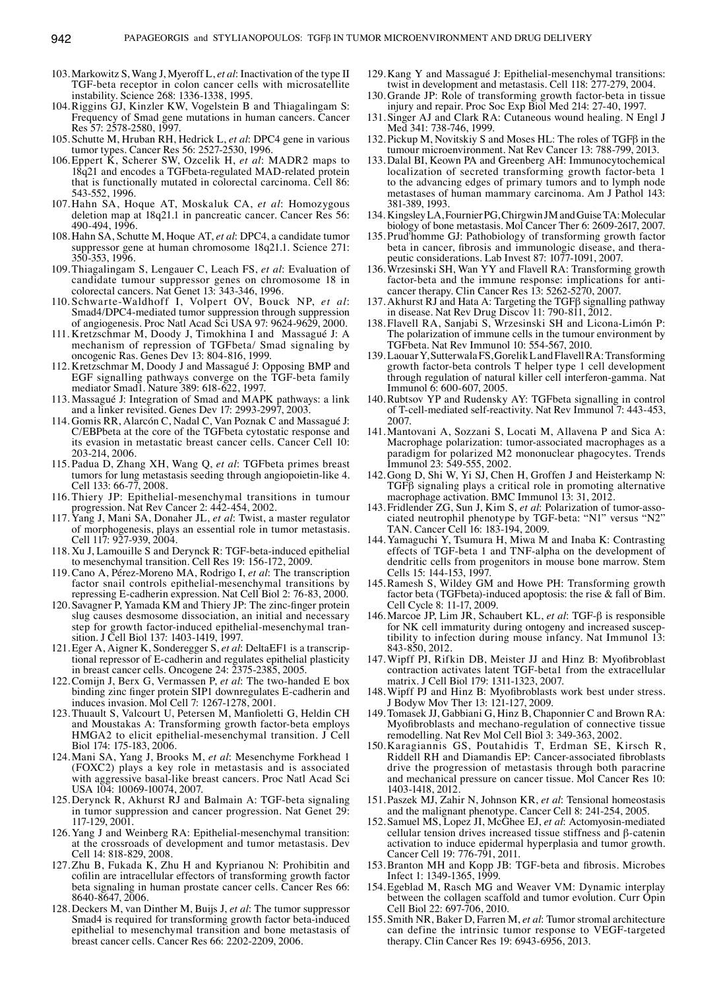- 103.Markowitz S, Wang J, Myeroff L, *et al*: Inactivation of the type Ⅱ TGF‑beta receptor in colon cancer cells with microsatellite instability. Science 268: 1336‑1338, 1995.
- 104.Riggins GJ, Kinzler KW, Vogelstein B and Thiagalingam S: Frequency of Smad gene mutations in human cancers. Cancer Res 57: 2578-2580, 1997.
- 105. Schutte M, Hruban RH, Hedrick L, *et al*: DPC4 gene in various tumor types. Cancer Res 56: 2527-2530, 1996.
- 106.Eppert K, Scherer SW, Ozcelik H, *et al*: MADR2 maps to 18q21 and encodes a TGFbeta-regulated MAD-related protein that is functionally mutated in colorectal carcinoma. Cell 86: 543-552, 1996.
- 107.Hahn SA, Hoque AT, Moskaluk CA, *et al*: Homozygous deletion map at 18q21.1 in pancreatic cancer. Cancer Res 56: 490-494, 1996.
- 108.Hahn SA, Schutte M, Hoque AT, *et al*: DPC4, a candidate tumor suppressor gene at human chromosome 18q21.1. Science 271: 350-353, 1996.
- 109.Thiagalingam S, Lengauer C, Leach FS, *et al*: Evaluation of candidate tumour suppressor genes on chromosome 18 in colorectal cancers. Nat Genet 13: 343-346, 1996.
- 110. Schwarte‑Waldhoff I, Volpert OV, Bouck NP, *et al*: Smad4/DPC4‑mediated tumor suppression through suppression of angiogenesis. Proc Natl Acad Sci USA 97: 9624‑9629, 2000.
- 111. Kretzschmar M, Doody J, Timokhina I and Massagué J: A mechanism of repression of TGFbeta/ Smad signaling by oncogenic Ras. Genes Dev 13: 804-816, 1999.
- 112. Kretzschmar M, Doody J and Massagué J: Opposing BMP and EGF signalling pathways converge on the TGF‑beta family mediator Smad1. Nature 389: 618‑622, 1997.
- 113. Massagué J: Integration of Smad and MAPK pathways: a link and a linker revisited. Genes Dev 17: 2993-2997, 2003.
- 114. Gomis RR, Alarcón C, Nadal C, Van Poznak C and Massagué J: C/EBPbeta at the core of the TGFbeta cytostatic response and its evasion in metastatic breast cancer cells. Cancer Cell 10: 203-214, 2006.
- 115. Padua D, Zhang XH, Wang Q, *et al*: TGFbeta primes breast tumors for lung metastasis seeding through angiopoietin-like 4. Cell 133: 66-77, 2008.
- 116. Thiery JP: Epithelial‑mesenchymal transitions in tumour progression. Nat Rev Cancer 2: 442-454, 2002.
- 117. Yang J, Mani SA, Donaher JL, *et al*: Twist, a master regulator of morphogenesis, plays an essential role in tumor metastasis. Cell 117: 927-939, 2004.
- 118. Xu J, Lamouille S and Derynck R: TGF‑beta‑induced epithelial to mesenchymal transition. Cell Res 19: 156-172, 2009.
- 119. Cano A, Pérez‑Moreno MA, Rodrigo I, *et al*: The transcription factor snail controls epithelial-mesenchymal transitions by repressing E‑cadherin expression. Nat Cell Biol 2: 76-83, 2000.
- 120. Savagner P, Yamada KM and Thiery JP: The zinc-finger protein slug causes desmosome dissociation, an initial and necessary step for growth factor-induced epithelial-mesenchymal transition. J Cell Biol 137: 1403-1419, 1997.
- 121.Eger A, Aigner K, Sonderegger S, *et al*: DeltaEF1 is a transcriptional repressor of E‑cadherin and regulates epithelial plasticity in breast cancer cells. Oncogene 24: 2375-2385, 2005.
- 122.Comijn J, Berx G, Vermassen P, *et al*: The two-handed E box binding zinc finger protein SIP1 downregulates E-cadherin and induces invasion. Mol Cell 7: 1267-1278, 2001.
- 123.Thuault S, Valcourt U, Petersen M, Manfioletti G, Heldin CH and Moustakas A: Transforming growth factor-beta employs HMGA2 to elicit epithelial-mesenchymal transition. J Cell Biol 174: 175-183, 2006.
- 124.Mani SA, Yang J, Brooks M, *et al*: Mesenchyme Forkhead 1 (FOXC2) plays a key role in metastasis and is associated with aggressive basal-like breast cancers. Proc Natl Acad Sci USA 104: 10069-10074, 2007.
- 125.Derynck R, Akhurst RJ and Balmain A: TGF‑beta signaling in tumor suppression and cancer progression. Nat Genet 29: 117-129, 2001.
- 126.Yang J and Weinberg RA: Epithelial-mesenchymal transition: at the crossroads of development and tumor metastasis. Dev Cell 14: 818-829, 2008.
- 127.Zhu B, Fukada K, Zhu H and Kyprianou N: Prohibitin and cofilin are intracellular effectors of transforming growth factor beta signaling in human prostate cancer cells. Cancer Res 66: 8640-8647, 2006.
- 128.Deckers M, van Dinther M, Buijs J, *et al*: The tumor suppressor Smad4 is required for transforming growth factor beta‑induced epithelial to mesenchymal transition and bone metastasis of breast cancer cells. Cancer Res 66: 2202-2209, 2006.
- 129.Kang Y and Massagué J: Epithelial-mesenchymal transitions: twist in development and metastasis. Cell 118: 277-279, 2004.
- 130. Grande JP: Role of transforming growth factor-beta in tissue injury and repair. Proc Soc Exp Biol Med 214: 27‑40, 1997.
- 131. Singer AJ and Clark RA: Cutaneous wound healing. N Engl J Med 341: 738-746, 1999.
- 132. Pickup M, Novitskiy S and Moses HL: The roles of TGFβ in the tumour microenvironment. Nat Rev Cancer 13: 788-799, 2013.
- 133.Dalal BI, Keown PA and Greenberg AH: Immunocytochemical localization of secreted transforming growth factor-beta 1 to the advancing edges of primary tumors and to lymph node metastases of human mammary carcinoma. Am J Pathol 143: 381-389, 1993.
- 134. Kingsley LA, Fournier PG, Chirgwin JM and Guise TA: Molecular biology of bone metastasis. Mol Cancer Ther 6: 2609-2617, 2007.
- 135. Prud'homme GJ: Pathobiology of transforming growth factor beta in cancer, fibrosis and immunologic disease, and therapeutic considerations. Lab Invest 87: 1077-1091, 2007.
- 136.Wrzesinski SH, Wan YY and Flavell RA: Transforming growth factor-beta and the immune response: implications for anticancer therapy. Clin Cancer Res 13: 5262-5270, 2007.
- 137.Akhurst RJ and Hata A: Targeting the TGFβ signalling pathway in disease. Nat Rev Drug Discov 11: 790-811, 2012.
- 138. Flavell RA, Sanjabi S, Wrzesinski SH and Licona‑Limón P: The polarization of immune cells in the tumour environment by TGFbeta. Nat Rev Immunol 10: 554-567, 2010.
- 139.Laouar Y, Sutterwala FS, Gorelik L and Flavell RA: Transforming growth factor-beta controls T helper type 1 cell development through regulation of natural killer cell interferon-gamma. Nat Immunol 6: 600-607, 2005.
- 140.Rubtsov YP and Rudensky AY: TGFbeta signalling in control of T‑cell-mediated self-reactivity. Nat Rev Immunol 7: 443-453, 2007.
- 141.Mantovani A, Sozzani S, Locati M, Allavena P and Sica A: Macrophage polarization: tumor-associated macrophages as a paradigm for polarized M2 mononuclear phagocytes. Trends Immunol 23: 549-555, 2002.
- 142.Gong D, Shi W, Yi SJ, Chen H, Groffen J and Heisterkamp N: TGFβ signaling plays a critical role in promoting alternative macrophage activation. BMC Immunol 13: 31, 2012.
- 143. Fridlender ZG, Sun J, Kim S, *et al*: Polarization of tumor‑associated neutrophil phenotype by TGF‑beta: "N1" versus "N2" TAN. Cancer Cell 16: 183-194, 2009.
- 144.Yamaguchi Y, Tsumura H, Miwa M and Inaba K: Contrasting effects of TGF‑beta 1 and TNF‑alpha on the development of dendritic cells from progenitors in mouse bone marrow. Stem Cells 15: 144-153, 1997.
- 145.Ramesh S, Wildey GM and Howe PH: Transforming growth factor beta (TGFbeta)-induced apoptosis: the rise & fall of Bim. Cell Cycle 8: 11-17, 2009.
- 146.Marcoe JP, Lim JR, Schaubert KL, *et al*: TGF‑β is responsible for NK cell immaturity during ontogeny and increased susceptibility to infection during mouse infancy. Nat Immunol 13: 843-850, 2012.
- 147.Wipff PJ, Rifkin DB, Meister JJ and Hinz B: Myofibroblast contraction activates latent TGF‑beta1 from the extracellular matrix. J Cell Biol 179: 1311-1323, 2007.
- 148.Wipff PJ and Hinz B: Myofibroblasts work best under stress. J Bodyw Mov Ther 13: 121-127, 2009.
- 149.Tomasek JJ, Gabbiani G, Hinz B, Chaponnier C and Brown RA: Myofibroblasts and mechano‑regulation of connective tissue remodelling. Nat Rev Mol Cell Biol 3: 349-363, 2002.
- 150.Karagiannis GS, Poutahidis T, Erdman SE, Kirsch R, Riddell RH and Diamandis EP: Cancer‑associated fibroblasts drive the progression of metastasis through both paracrine and mechanical pressure on cancer tissue. Mol Cancer Res 10: 1403-1418, 2012.
- 151. Paszek MJ, Zahir N, Johnson KR, *et al*: Tensional homeostasis and the malignant phenotype. Cancer Cell 8: 241-254, 2005.
- 152. Samuel MS, Lopez JI, McGhee EJ, *et al*: Actomyosin-mediated cellular tension drives increased tissue stiffness and β-catenin activation to induce epidermal hyperplasia and tumor growth. Cancer Cell 19: 776-791, 2011.
- 153.Branton MH and Kopp JB: TGF‑beta and fibrosis. Microbes Infect 1: 1349-1365, 1999.
- 154.Egeblad M, Rasch MG and Weaver VM: Dynamic interplay between the collagen scaffold and tumor evolution. Curr Opin Cell Biol 22: 697-706, 2010.
- 155. Smith NR, Baker D, Farren M, *et al*: Tumor stromal architecture can define the intrinsic tumor response to VEGF-targeted therapy. Clin Cancer Res 19: 6943-6956, 2013.